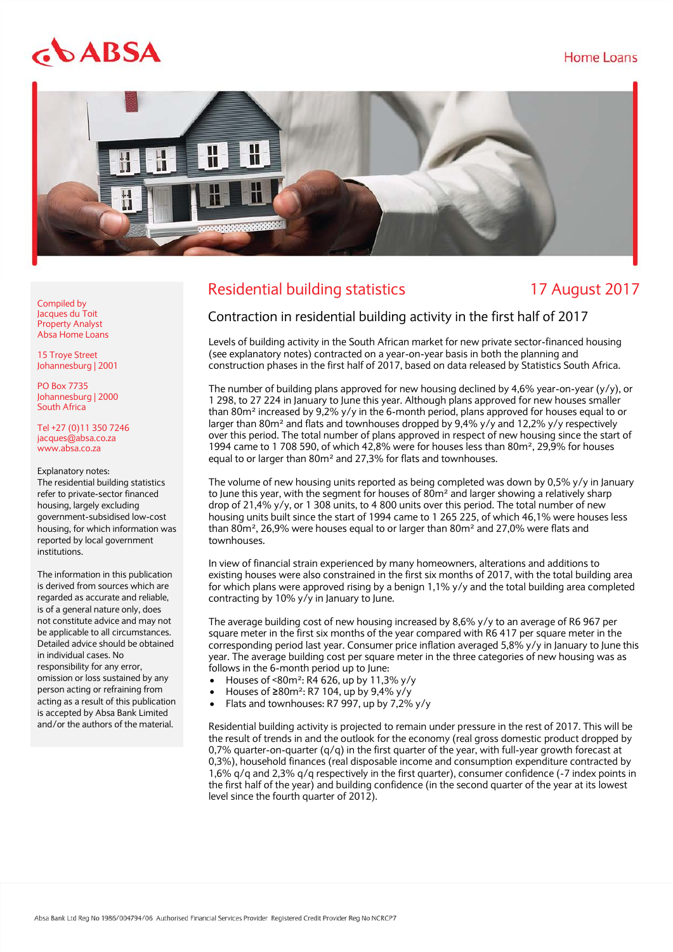# Home Loans

# $66ABSA$



# Residential building statistics 17 August 2017

Compiled by Jacques du Toit Property Analyst Absa Home Loans

15 Troye Street Johannesburg | 2001

PO Box 7735 Johannesburg | 2000 South Africa

Tel +27 (0)11 350 7246 jacques@absa.co.za [www.absa.co.za](http://www.absa.co.za/)

#### Explanatory notes:

The residential building statistics refer to private-sector financed housing, largely excluding government-subsidised low-cost housing, for which information was reported by local government institutions.

The information in this publication is derived from sources which are regarded as accurate and reliable, is of a general nature only, does not constitute advice and may not be applicable to all circumstances. Detailed advice should be obtained in individual cases. No responsibility for any error, omission or loss sustained by any person acting or refraining from acting as a result of this publication is accepted by Absa Bank Limited and/or the authors of the material.

# Contraction in residential building activity in the first half of 2017

Levels of building activity in the South African market for new private sector-financed housing (see explanatory notes) contracted on a year-on-year basis in both the planning and construction phases in the first half of 2017, based on data released by Statistics South Africa.

The number of building plans approved for new housing declined by 4,6% year-on-year  $(y/y)$ , or 1 298, to 27 224 in January to June this year. Although plans approved for new houses smaller than 80 $m<sup>2</sup>$  increased by 9,2% y/y in the 6-month period, plans approved for houses equal to or larger than 80 $m<sup>2</sup>$  and flats and townhouses dropped by 9,4% y/y and 12,2% y/y respectively over this period. The total number of plans approved in respect of new housing since the start of 1994 came to 1 708 590, of which 42,8% were for houses less than 80m<sup>2</sup>, 29,9% for houses equal to or larger than 80m² and 27,3% for flats and townhouses.

The volume of new housing units reported as being completed was down by 0,5% y/y in January to June this year, with the segment for houses of  $80m<sup>2</sup>$  and larger showing a relatively sharp drop of 21,4% y/y, or 1 308 units, to 4 800 units over this period. The total number of new housing units built since the start of 1994 came to 1 265 225, of which 46,1% were houses less than 80m<sup>2</sup>, 26,9% were houses equal to or larger than 80m<sup>2</sup> and 27,0% were flats and townhouses.

In view of financial strain experienced by many homeowners, alterations and additions to existing houses were also constrained in the first six months of 2017, with the total building area for which plans were approved rising by a benign 1,1% y/y and the total building area completed contracting by 10% y/y in January to June.

The average building cost of new housing increased by 8,6% y/y to an average of R6 967 per square meter in the first six months of the year compared with R6 417 per square meter in the corresponding period last year. Consumer price inflation averaged 5,8% y/y in January to June this year. The average building cost per square meter in the three categories of new housing was as follows in the 6-month period up to June:

- Houses of <80m<sup>2</sup>: R4 626, up by 11,3% y/y
- Houses of ≥80m²: R7 104, up by 9,4% y/y
- Flats and townhouses: R7 997, up by 7,2% y/y

Residential building activity is projected to remain under pressure in the rest of 2017. This will be the result of trends in and the outlook for the economy (real gross domestic product dropped by 0,7% quarter-on-quarter  $(q/q)$  in the first quarter of the year, with full-year growth forecast at 0,3%), household finances (real disposable income and consumption expenditure contracted by 1,6% q/q and 2,3% q/q respectively in the first quarter), consumer confidence (-7 index points in the first half of the year) and building confidence (in the second quarter of the year at its lowest level since the fourth quarter of 2012).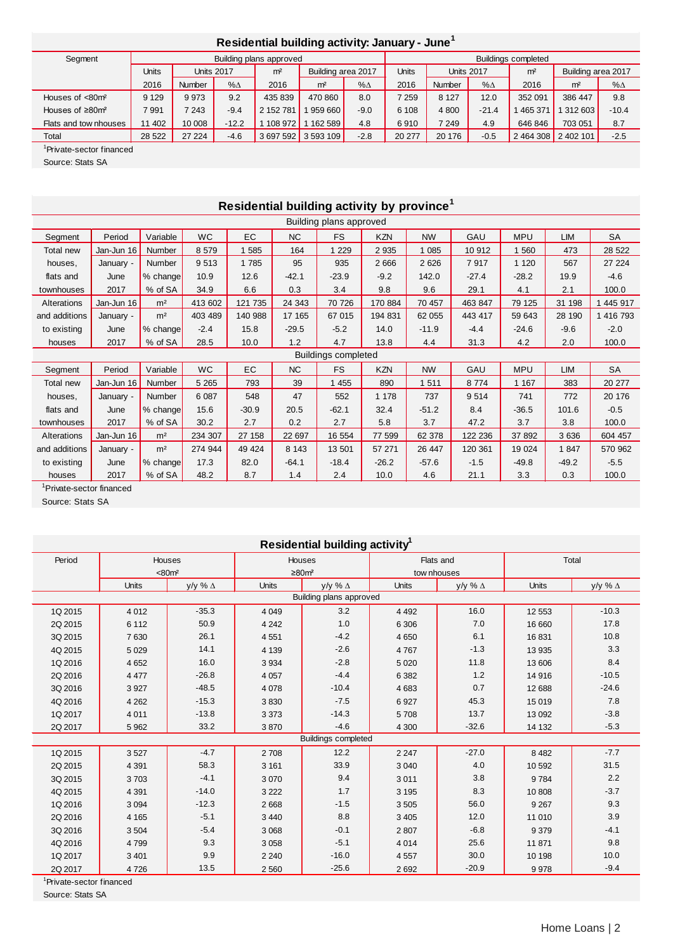## **Residential building activity: January - June<sup>1</sup>**

| Segment                            | Building plans approved |                   |            |                |                     |               | <b>Buildings completed</b> |                   |            |                |                    |            |
|------------------------------------|-------------------------|-------------------|------------|----------------|---------------------|---------------|----------------------------|-------------------|------------|----------------|--------------------|------------|
|                                    | Units                   | <b>Units 2017</b> |            | m <sup>2</sup> | Building area 2017  |               | Units                      | <b>Units 2017</b> |            | m <sup>2</sup> | Building area 2017 |            |
|                                    | 2016                    | <b>Number</b>     | $% \Delta$ | 2016           | m <sup>2</sup>      | $% \triangle$ | 2016                       | Number            | $% \Delta$ | 2016           | m <sup>2</sup>     | $% \Delta$ |
| Houses of <80m <sup>2</sup>        | 9 1 2 9                 | 9973              | 9.2        | 435 839        | 470 860             | 8.0           | 7 259                      | 8 1 2 7           | 12.0       | 352 091        | 386 447            | 9.8        |
| Houses of $\geq 80$ m <sup>2</sup> | 7991                    | 7 2 4 3           | $-9.4$     | 2 152 781      | 959 660             | $-9.0$        | 6 1 0 8                    | 4 800             | $-21.4$    | 465 371        | 1 312 603          | $-10.4$    |
| Flats and tow nhouses              | 11 402                  | 10 008            | $-12.2$    | 108 972        | 162 589             | 4.8           | 6910                       | 7 2 4 9           | 4.9        | 646 846        | 703 051            | 8.7        |
| Total                              | 28 5 22                 | 27 224            | $-4.6$     |                | 3 697 592 3 593 109 | $-2.8$        | 20 277                     | 20 176            | $-0.5$     | 2 4 64 3 0 8   | 2 402 101          | $-2.5$     |

1 Private-sector financed

Source: Stats SA

| Residential building activity by province <sup>1</sup> |            |                |           |         |         |                            |            |           |         |            |         |           |
|--------------------------------------------------------|------------|----------------|-----------|---------|---------|----------------------------|------------|-----------|---------|------------|---------|-----------|
| Building plans approved                                |            |                |           |         |         |                            |            |           |         |            |         |           |
| Segment                                                | Period     | Variable       | <b>WC</b> | EC      | NC      | <b>FS</b>                  | <b>KZN</b> | <b>NW</b> | GAU     | <b>MPU</b> | LIM     | SA        |
| Total new                                              | Jan-Jun 16 | Number         | 8579      | 1585    | 164     | 1 2 2 9                    | 2 9 3 5    | 1 0 8 5   | 10 912  | 1 560      | 473     | 28 5 22   |
| houses.                                                | January -  | Number         | 9513      | 1785    | 95      | 935                        | 2666       | 2 6 2 6   | 7917    | 1 1 2 0    | 567     | 27 224    |
| flats and                                              | June       | % change       | 10.9      | 12.6    | $-42.1$ | $-23.9$                    | $-9.2$     | 142.0     | $-27.4$ | $-28.2$    | 19.9    | $-4.6$    |
| townhouses                                             | 2017       | % of SA        | 34.9      | 6.6     | 0.3     | 3.4                        | 9.8        | 9.6       | 29.1    | 4.1        | 2.1     | 100.0     |
| Alterations                                            | Jan-Jun 16 | m <sup>2</sup> | 413 602   | 121 735 | 24 343  | 70 726                     | 170 884    | 70 457    | 463 847 | 79 125     | 31 198  | 1 445 917 |
| and additions                                          | January -  | m <sup>2</sup> | 403 489   | 140 988 | 17 165  | 67 015                     | 194 831    | 62 055    | 443 417 | 59 643     | 28 190  | 1 416 793 |
| to existing                                            | June       | % change       | $-2.4$    | 15.8    | $-29.5$ | $-5.2$                     | 14.0       | $-11.9$   | $-4.4$  | $-24.6$    | $-9.6$  | $-2.0$    |
| houses                                                 | 2017       | % of SA        | 28.5      | 10.0    | 1.2     | 4.7                        | 13.8       | 4.4       | 31.3    | 4.2        | 2.0     | 100.0     |
|                                                        |            |                |           |         |         | <b>Buildings completed</b> |            |           |         |            |         |           |
| Segment                                                | Period     | Variable       | <b>WC</b> | EC      | NC      | <b>FS</b>                  | <b>KZN</b> | <b>NW</b> | GAU     | <b>MPU</b> | LIM     | SA        |
| Total new                                              | Jan-Jun 16 | Number         | 5 2 6 5   | 793     | 39      | 1 4 5 5                    | 890        | 1511      | 8774    | 1 1 6 7    | 383     | 20 277    |
| houses,                                                | January -  | Number         | 6 0 87    | 548     | 47      | 552                        | 1 1 7 8    | 737       | 9514    | 741        | 772     | 20 176    |
| flats and                                              | June       | % change       | 15.6      | $-30.9$ | 20.5    | $-62.1$                    | 32.4       | $-51.2$   | 8.4     | $-36.5$    | 101.6   | $-0.5$    |
| townhouses                                             | 2017       | % of SA        | 30.2      | 2.7     | 0.2     | 2.7                        | 5.8        | 3.7       | 47.2    | 3.7        | 3.8     | 100.0     |
| Alterations                                            | Jan-Jun 16 | m <sup>2</sup> | 234 307   | 27 158  | 22 697  | 16 554                     | 77 599     | 62 378    | 122 236 | 37 892     | 3636    | 604 457   |
| and additions                                          | January -  | m <sup>2</sup> | 274 944   | 49 4 24 | 8 1 4 3 | 13 501                     | 57 271     | 26 447    | 120 361 | 19 0 24    | 1847    | 570 962   |
| to existing                                            | June       | % change       | 17.3      | 82.0    | $-64.1$ | $-18.4$                    | $-26.2$    | $-57.6$   | $-1.5$  | $-49.8$    | $-49.2$ | $-5.5$    |
| houses                                                 | 2017       | % of SA        | 48.2      | 8.7     | 1.4     | 2.4                        | 10.0       | 4.6       | 21.1    | 3.3        | 0.3     | 100.0     |

1 Private-sector financed

Source: Stats SA

| Residential building activity <sup>1</sup> |                                      |                      |               |                            |                          |             |          |                 |  |  |
|--------------------------------------------|--------------------------------------|----------------------|---------------|----------------------------|--------------------------|-------------|----------|-----------------|--|--|
| Period                                     |                                      | <b>Houses</b>        | <b>Houses</b> |                            |                          | Flats and   | Total    |                 |  |  |
|                                            |                                      | $<80$ m <sup>2</sup> |               | $\geq 80$ m <sup>2</sup>   |                          | tow nhouses |          |                 |  |  |
|                                            | Units                                | y/y % $\Delta$       | <b>Units</b>  | $y/y \% \Delta$            | Units<br>$y/y \% \Delta$ |             | Units    | $y/y \% \Delta$ |  |  |
| Building plans approved                    |                                      |                      |               |                            |                          |             |          |                 |  |  |
| 1Q 2015                                    | 4 0 1 2                              | $-35.3$              | 4 0 4 9       | 3.2                        | 4 4 9 2                  | 16.0        | 12 5 53  | $-10.3$         |  |  |
| 2Q 2015                                    | 6 1 1 2                              | 50.9                 | 4 2 4 2       | 1.0                        | 6 3 0 6                  | 7.0         | 16 660   | 17.8            |  |  |
| 3Q 2015                                    | 7630                                 | 26.1                 | 4 5 5 1       | $-4.2$                     | 4 6 5 0                  | 6.1         | 16831    | 10.8            |  |  |
| 4Q 2015                                    | 5 0 2 9                              | 14.1                 | 4 1 3 9       | $-2.6$                     | 4767                     | $-1.3$      | 13 9 35  | 3.3             |  |  |
| 1Q 2016                                    | 4 6 5 2                              | 16.0                 | 3 9 3 4       | $-2.8$                     | 5 0 20                   | 11.8        | 13 606   | 8.4             |  |  |
| 2Q 2016                                    | 4 4 7 7                              | $-26.8$              | 4 0 5 7       | $-4.4$                     | 6 3 8 2                  | 1.2         | 14 916   | $-10.5$         |  |  |
| 3Q 2016                                    | 3927                                 | $-48.5$              | 4 0 78        | $-10.4$                    | 4 6 8 3                  | 0.7         | 12 688   | $-24.6$         |  |  |
| 4Q 2016                                    | 4 2 6 2                              | $-15.3$              | 3830          | $-7.5$                     | 6927                     | 45.3        | 15 0 19  | 7.8             |  |  |
| 1Q 2017                                    | 4 0 1 1                              | $-13.8$              | 3 3 7 3       | $-14.3$                    | 5708                     | 13.7        | 13 0 9 2 | $-3.8$          |  |  |
| 2Q 2017                                    | 5 9 6 2                              | 33.2                 | 3870          | $-4.6$                     | 4 3 0 0                  | $-32.6$     | 14 132   | $-5.3$          |  |  |
|                                            |                                      |                      |               | <b>Buildings completed</b> |                          |             |          |                 |  |  |
| 1Q 2015                                    | 3527                                 | $-4.7$               | 2 708         | 12.2                       | 2 2 4 7                  | $-27.0$     | 8482     | $-7.7$          |  |  |
| 2Q 2015                                    | 4 3 9 1                              | 58.3                 | 3 1 6 1       | 33.9                       | 3 0 4 0                  | 4.0         | 10 592   | 31.5            |  |  |
| 3Q 2015                                    | 3703                                 | $-4.1$               | 3 0 7 0       | 9.4                        | 3011                     | 3.8         | 9784     | 2.2             |  |  |
| 4Q 2015                                    | 4 3 9 1                              | $-14.0$              | 3 2 2 2       | 1.7                        | 3 1 9 5                  | 8.3         | 10 808   | $-3.7$          |  |  |
| 1Q 2016                                    | 3 0 9 4                              | $-12.3$              | 2 6 6 8       | $-1.5$                     | 3505                     | 56.0        | 9 2 6 7  | 9.3             |  |  |
| 2Q 2016                                    | 4 1 6 5                              | $-5.1$               | 3 4 4 0       | 8.8                        | 3 4 0 5                  | 12.0        | 11 010   | 3.9             |  |  |
| 3Q 2016                                    | 3 5 0 4                              | $-5.4$               | 3 0 6 8       | $-0.1$                     | 2807                     | $-6.8$      | 9 3 7 9  | $-4.1$          |  |  |
| 4Q 2016                                    | 4799                                 | 9.3                  | 3 0 5 8       | $-5.1$                     | 4 0 1 4                  | 25.6        | 11 871   | 9.8             |  |  |
| 1Q 2017                                    | 3 4 0 1                              | 9.9                  | 2 2 4 0       | $-16.0$                    | 4557                     | 30.0        | 10 198   | 10.0            |  |  |
| 2Q 2017                                    | 4726                                 | 13.5                 | 2 5 6 0       | $-25.6$                    | 2692                     | $-20.9$     | 9978     | $-9.4$          |  |  |
|                                            | <sup>1</sup> Private-sector financed |                      |               |                            |                          |             |          |                 |  |  |

1 Private-sector financed

Source: Stats SA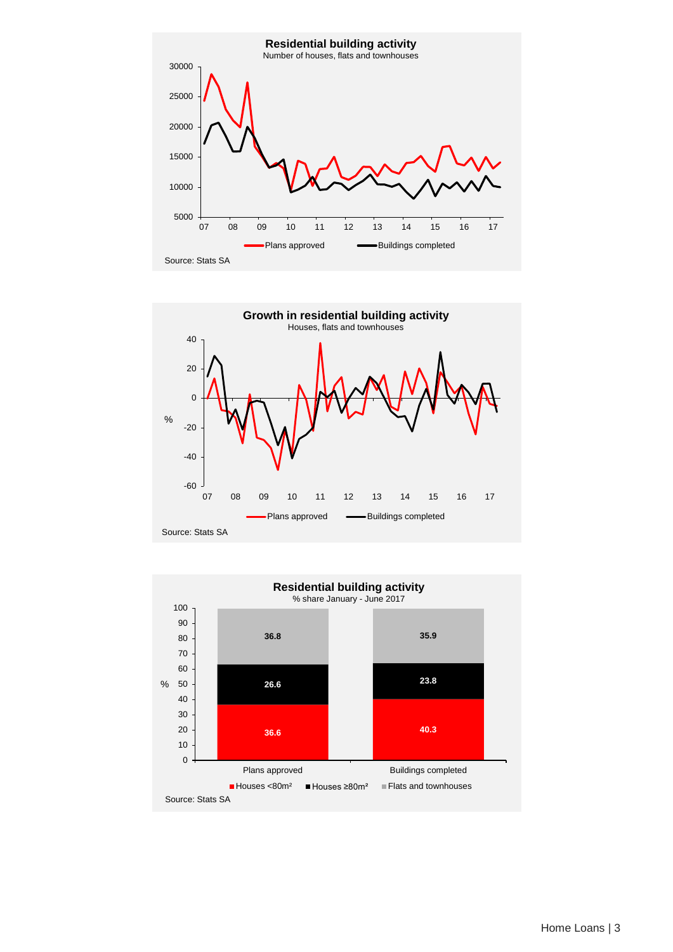



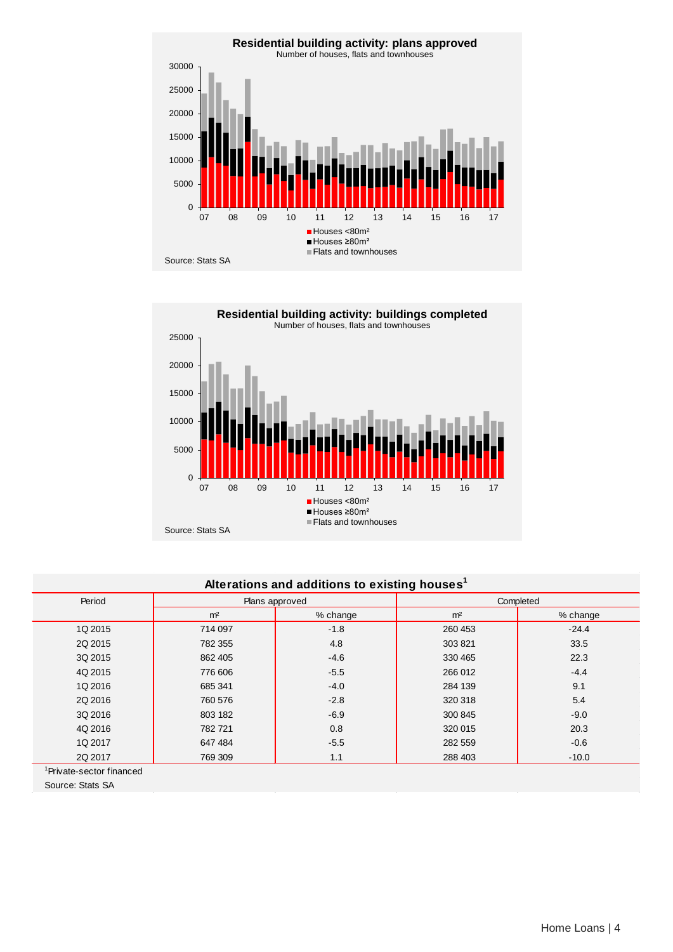



# **Alterations and additions to existing houses<sup>1</sup>**

| Period  |                | Plans approved | Completed      |          |  |  |
|---------|----------------|----------------|----------------|----------|--|--|
|         | m <sup>2</sup> | % change       | m <sup>2</sup> | % change |  |  |
| 1Q 2015 | 714 097        | $-1.8$         | 260 453        | $-24.4$  |  |  |
| 2Q 2015 | 782 355        | 4.8            | 303 821        | 33.5     |  |  |
| 3Q 2015 | 862 405        | $-4.6$         | 330 465        | 22.3     |  |  |
| 4Q 2015 | 776 606        | $-5.5$         | 266 012        | $-4.4$   |  |  |
| 1Q 2016 | 685 341        | $-4.0$         | 284 139        | 9.1      |  |  |
| 2Q 2016 | 760 576        | $-2.8$         | 320 318        | 5.4      |  |  |
| 3Q 2016 | 803 182        | $-6.9$         | 300 845        | $-9.0$   |  |  |
| 4Q 2016 | 782721         | 0.8            | 320 015        | 20.3     |  |  |
| 1Q 2017 | 647 484        | $-5.5$         | 282 559        | $-0.6$   |  |  |
| 2Q 2017 | 769 309        | 1.1            | 288 403        | $-10.0$  |  |  |

1 Private-sector financed

Source: Stats SA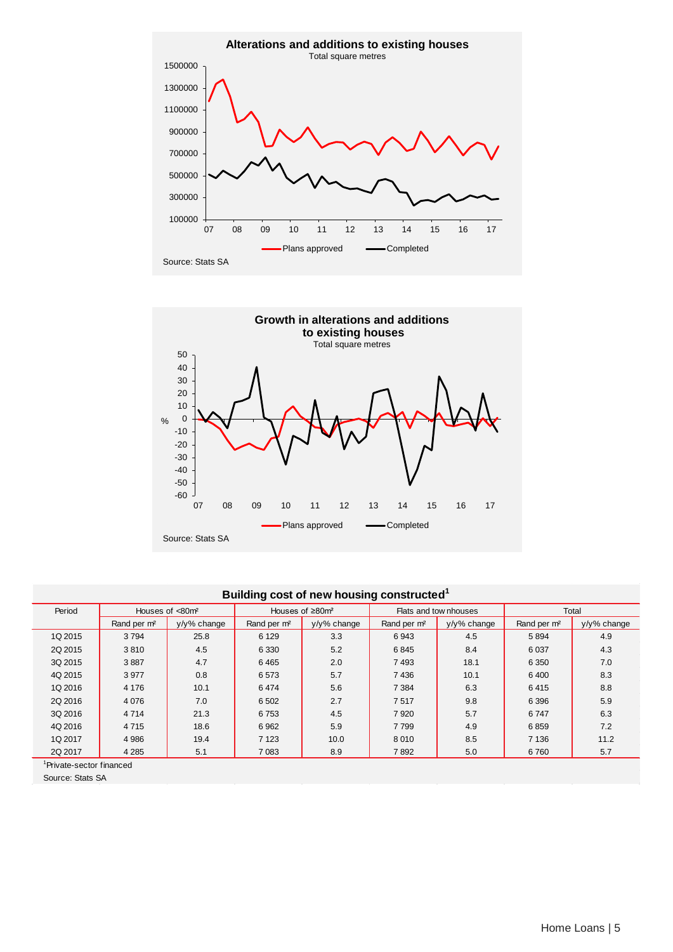



### **Building cost of new housing constructed1**

| Period  | Houses of <80m <sup>2</sup> |                | Houses of $\geq 80$ m <sup>2</sup> |                |                         | Flats and tow nhouses | Total                   |                |
|---------|-----------------------------|----------------|------------------------------------|----------------|-------------------------|-----------------------|-------------------------|----------------|
|         | Rand per m <sup>2</sup>     | $v/v$ % change | Rand per m <sup>2</sup>            | $v/v\%$ change | Rand per m <sup>2</sup> | $v/v$ % change        | Rand per m <sup>2</sup> | $v/v$ % change |
| 1Q 2015 | 3794                        | 25.8           | 6 1 2 9                            | 3.3            | 6943                    | 4.5                   | 5894                    | 4.9            |
| 2Q 2015 | 3810                        | 4.5            | 6 3 3 0                            | 5.2            | 6845                    | 8.4                   | 6 0 37                  | 4.3            |
| 3Q 2015 | 3887                        | 4.7            | 6465                               | 2.0            | 7493                    | 18.1                  | 6 3 5 0                 | 7.0            |
| 4Q 2015 | 3977                        | 0.8            | 6573                               | 5.7            | 7436                    | 10.1                  | 6400                    | 8.3            |
| 1Q 2016 | 4 1 7 6                     | 10.1           | 6474                               | 5.6            | 7 3 8 4                 | 6.3                   | 6415                    | 8.8            |
| 2Q 2016 | 4 0 7 6                     | 7.0            | 6 5 0 2                            | 2.7            | 7517                    | 9.8                   | 6 3 9 6                 | 5.9            |
| 3Q 2016 | 4 7 1 4                     | 21.3           | 6753                               | 4.5            | 7920                    | 5.7                   | 6747                    | 6.3            |
| 4Q 2016 | 4715                        | 18.6           | 6962                               | 5.9            | 7799                    | 4.9                   | 6859                    | 7.2            |
| 1Q 2017 | 4 9 8 6                     | 19.4           | 7 1 2 3                            | 10.0           | 8010                    | 8.5                   | 7 1 3 6                 | 11.2           |
| 2Q 2017 | 4 2 8 5                     | 5.1            | 7 0 8 3                            | 8.9            | 7892                    | 5.0                   | 6760                    | 5.7            |

1 Private-sector financed